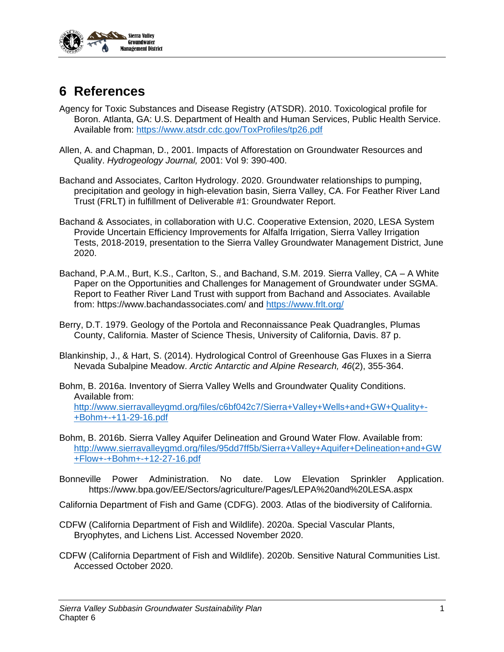

## **6 References**

- Agency for Toxic Substances and Disease Registry (ATSDR). 2010. Toxicological profile for Boron. Atlanta, GA: U.S. Department of Health and Human Services, Public Health Service. Available from: <https://www.atsdr.cdc.gov/ToxProfiles/tp26.pdf>
- Allen, A. and Chapman, D., 2001. Impacts of Afforestation on Groundwater Resources and Quality. *Hydrogeology Journal,* 2001: Vol 9: 390-400.
- Bachand and Associates, Carlton Hydrology. 2020. Groundwater relationships to pumping, precipitation and geology in high-elevation basin, Sierra Valley, CA. For Feather River Land Trust (FRLT) in fulfillment of Deliverable #1: Groundwater Report.
- Bachand & Associates, in collaboration with U.C. Cooperative Extension, 2020, LESA System Provide Uncertain Efficiency Improvements for Alfalfa Irrigation, Sierra Valley Irrigation Tests, 2018-2019, presentation to the Sierra Valley Groundwater Management District, June 2020.
- Bachand, P.A.M., Burt, K.S., Carlton, S., and Bachand, S.M. 2019. Sierra Valley, CA A White Paper on the Opportunities and Challenges for Management of Groundwater under SGMA. Report to Feather River Land Trust with support from Bachand and Associates. Available from: https://www.bachandassociates.com/ and<https://www.frlt.org/>
- Berry, D.T. 1979. Geology of the Portola and Reconnaissance Peak Quadrangles, Plumas County, California. Master of Science Thesis, University of California, Davis. 87 p.
- Blankinship, J., & Hart, S. (2014). Hydrological Control of Greenhouse Gas Fluxes in a Sierra Nevada Subalpine Meadow. *Arctic Antarctic and Alpine Research, 46*(2), 355-364.
- Bohm, B. 2016a. Inventory of Sierra Valley Wells and Groundwater Quality Conditions. Available from: [http://www.sierravalleygmd.org/files/c6bf042c7/Sierra+Valley+Wells+and+GW+Quality+-](http://www.sierravalleygmd.org/files/c6bf042c7/Sierra+Valley+Wells+and+GW+Quality+-+Bohm+-+11-29-16.pdf) [+Bohm+-+11-29-16.pdf](http://www.sierravalleygmd.org/files/c6bf042c7/Sierra+Valley+Wells+and+GW+Quality+-+Bohm+-+11-29-16.pdf)
- Bohm, B. 2016b. Sierra Valley Aquifer Delineation and Ground Water Flow. Available from: [http://www.sierravalleygmd.org/files/95dd7ff5b/Sierra+Valley+Aquifer+Delineation+and+GW](http://www.sierravalleygmd.org/files/95dd7ff5b/Sierra+Valley+Aquifer+Delineation+and+GW+Flow+-+Bohm+-+12-27-16.pdf) [+Flow+-+Bohm+-+12-27-16.pdf](http://www.sierravalleygmd.org/files/95dd7ff5b/Sierra+Valley+Aquifer+Delineation+and+GW+Flow+-+Bohm+-+12-27-16.pdf)
- Bonneville Power Administration. No date. Low Elevation Sprinkler Application. https://www.bpa.gov/EE/Sectors/agriculture/Pages/LEPA%20and%20LESA.aspx
- California Department of Fish and Game (CDFG). 2003. Atlas of the biodiversity of California.
- CDFW (California Department of Fish and Wildlife). 2020a. Special Vascular Plants, Bryophytes, and Lichens List. Accessed November 2020.
- CDFW (California Department of Fish and Wildlife). 2020b. Sensitive Natural Communities List. Accessed October 2020.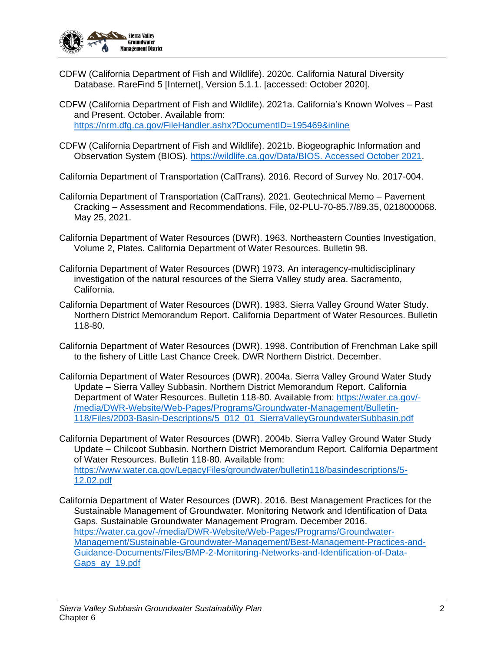

- CDFW (California Department of Fish and Wildlife). 2020c. California Natural Diversity Database. RareFind 5 [Internet], Version 5.1.1. [accessed: October 2020].
- CDFW (California Department of Fish and Wildlife). 2021a. California's Known Wolves Past and Present. October. Available from: <https://nrm.dfg.ca.gov/FileHandler.ashx?DocumentID=195469&inline>
- CDFW (California Department of Fish and Wildlife). 2021b. Biogeographic Information and Observation System (BIOS). [https://wildlife.ca.gov/Data/BIOS. Accessed October 2021.](https://wildlife.ca.gov/Data/BIOS.%20Accessed%20October%202021)

California Department of Transportation (CalTrans). 2016. Record of Survey No. 2017-004.

- California Department of Transportation (CalTrans). 2021. Geotechnical Memo Pavement Cracking – Assessment and Recommendations. File, 02-PLU-70-85.7/89.35, 0218000068. May 25, 2021.
- California Department of Water Resources (DWR). 1963. Northeastern Counties Investigation, Volume 2, Plates. California Department of Water Resources. Bulletin 98.
- California Department of Water Resources (DWR) 1973. An interagency-multidisciplinary investigation of the natural resources of the Sierra Valley study area. Sacramento, California.
- California Department of Water Resources (DWR). 1983. Sierra Valley Ground Water Study. Northern District Memorandum Report. California Department of Water Resources. Bulletin 118-80.
- California Department of Water Resources (DWR). 1998. Contribution of Frenchman Lake spill to the fishery of Little Last Chance Creek. DWR Northern District. December.
- California Department of Water Resources (DWR). 2004a. Sierra Valley Ground Water Study Update – Sierra Valley Subbasin. Northern District Memorandum Report. California Department of Water Resources. Bulletin 118-80. Available from: [https://water.ca.gov/-](https://water.ca.gov/-/media/DWR-Website/Web-Pages/Programs/Groundwater-Management/Bulletin-118/Files/2003-Basin-Descriptions/5_012_01_SierraValleyGroundwaterSubbasin.pdf) [/media/DWR-Website/Web-Pages/Programs/Groundwater-Management/Bulletin-](https://water.ca.gov/-/media/DWR-Website/Web-Pages/Programs/Groundwater-Management/Bulletin-118/Files/2003-Basin-Descriptions/5_012_01_SierraValleyGroundwaterSubbasin.pdf)[118/Files/2003-Basin-Descriptions/5\\_012\\_01\\_SierraValleyGroundwaterSubbasin.pdf](https://water.ca.gov/-/media/DWR-Website/Web-Pages/Programs/Groundwater-Management/Bulletin-118/Files/2003-Basin-Descriptions/5_012_01_SierraValleyGroundwaterSubbasin.pdf)
- California Department of Water Resources (DWR). 2004b. Sierra Valley Ground Water Study Update – Chilcoot Subbasin. Northern District Memorandum Report. California Department of Water Resources. Bulletin 118-80. Available from: [https://www.water.ca.gov/LegacyFiles/groundwater/bulletin118/basindescriptions/5-](https://www.water.ca.gov/LegacyFiles/groundwater/bulletin118/basindescriptions/5-12.02.pdf) [12.02.pdf](https://www.water.ca.gov/LegacyFiles/groundwater/bulletin118/basindescriptions/5-12.02.pdf)
- California Department of Water Resources (DWR). 2016. Best Management Practices for the Sustainable Management of Groundwater. Monitoring Network and Identification of Data Gaps. Sustainable Groundwater Management Program. December 2016. [https://water.ca.gov/-/media/DWR-Website/Web-Pages/Programs/Groundwater-](https://water.ca.gov/-/media/DWR-Website/Web-Pages/Programs/Groundwater-Management/Sustainable-Groundwater-Management/Best-Management-Practices-and-Guidance-Documents/Files/BMP-2-Monitoring-Networks-and-Identification-of-Data-Gaps_ay_19.pdf)[Management/Sustainable-Groundwater-Management/Best-Management-Practices-and-](https://water.ca.gov/-/media/DWR-Website/Web-Pages/Programs/Groundwater-Management/Sustainable-Groundwater-Management/Best-Management-Practices-and-Guidance-Documents/Files/BMP-2-Monitoring-Networks-and-Identification-of-Data-Gaps_ay_19.pdf)[Guidance-Documents/Files/BMP-2-Monitoring-Networks-and-Identification-of-Data-](https://water.ca.gov/-/media/DWR-Website/Web-Pages/Programs/Groundwater-Management/Sustainable-Groundwater-Management/Best-Management-Practices-and-Guidance-Documents/Files/BMP-2-Monitoring-Networks-and-Identification-of-Data-Gaps_ay_19.pdf)[Gaps\\_ay\\_19.pdf](https://water.ca.gov/-/media/DWR-Website/Web-Pages/Programs/Groundwater-Management/Sustainable-Groundwater-Management/Best-Management-Practices-and-Guidance-Documents/Files/BMP-2-Monitoring-Networks-and-Identification-of-Data-Gaps_ay_19.pdf)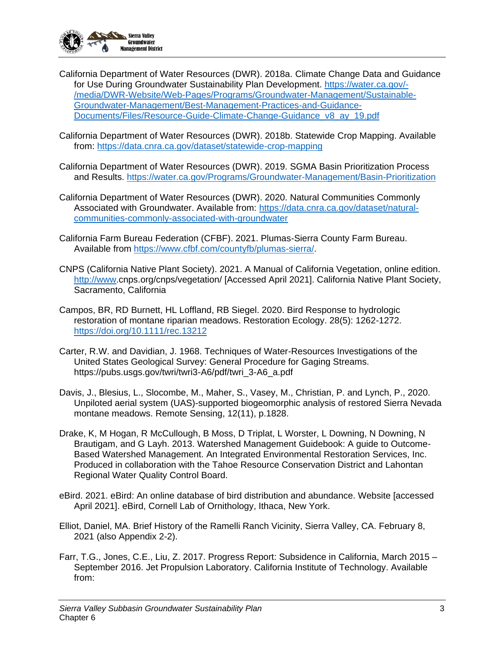

- California Department of Water Resources (DWR). 2018a. Climate Change Data and Guidance for Use During Groundwater Sustainability Plan Development. [https://water.ca.gov/-](https://water.ca.gov/-/media/DWR-Website/Web-Pages/Programs/Groundwater-Management/Sustainable-Groundwater-Management/Best-Management-Practices-and-Guidance-Documents/Files/Resource-Guide-Climate-Change-Guidance_v8_ay_19.pdf) [/media/DWR-Website/Web-Pages/Programs/Groundwater-Management/Sustainable-](https://water.ca.gov/-/media/DWR-Website/Web-Pages/Programs/Groundwater-Management/Sustainable-Groundwater-Management/Best-Management-Practices-and-Guidance-Documents/Files/Resource-Guide-Climate-Change-Guidance_v8_ay_19.pdf)[Groundwater-Management/Best-Management-Practices-and-Guidance-](https://water.ca.gov/-/media/DWR-Website/Web-Pages/Programs/Groundwater-Management/Sustainable-Groundwater-Management/Best-Management-Practices-and-Guidance-Documents/Files/Resource-Guide-Climate-Change-Guidance_v8_ay_19.pdf)[Documents/Files/Resource-Guide-Climate-Change-Guidance\\_v8\\_ay\\_19.pdf](https://water.ca.gov/-/media/DWR-Website/Web-Pages/Programs/Groundwater-Management/Sustainable-Groundwater-Management/Best-Management-Practices-and-Guidance-Documents/Files/Resource-Guide-Climate-Change-Guidance_v8_ay_19.pdf)
- California Department of Water Resources (DWR). 2018b. Statewide Crop Mapping. Available from:<https://data.cnra.ca.gov/dataset/statewide-crop-mapping>
- California Department of Water Resources (DWR). 2019. SGMA Basin Prioritization Process and Results.<https://water.ca.gov/Programs/Groundwater-Management/Basin-Prioritization>
- California Department of Water Resources (DWR). 2020. Natural Communities Commonly Associated with Groundwater. Available from: [https://data.cnra.ca.gov/dataset/natural](https://data.cnra.ca.gov/dataset/natural-communities-commonly-associated-with-groundwater)[communities-commonly-associated-with-groundwater](https://data.cnra.ca.gov/dataset/natural-communities-commonly-associated-with-groundwater)
- California Farm Bureau Federation (CFBF). 2021. Plumas-Sierra County Farm Bureau. Available from [https://www.cfbf.com/countyfb/plumas-sierra/.](https://www.cfbf.com/countyfb/plumas-sierra/)
- CNPS (California Native Plant Society). 2021. A Manual of California Vegetation, online edition. [http://www.](http://www/)cnps.org/cnps/vegetation/ [Accessed April 2021]. California Native Plant Society, Sacramento, California
- Campos, BR, RD Burnett, HL Loffland, RB Siegel. 2020. Bird Response to hydrologic restoration of montane riparian meadows. Restoration Ecology. 28(5): 1262-1272. <https://doi.org/10.1111/rec.13212>
- Carter, R.W. and Davidian, J. 1968. Techniques of Water-Resources Investigations of the United States Geological Survey: General Procedure for Gaging Streams. https://pubs.usgs.gov/twri/twri3-A6/pdf/twri\_3-A6\_a.pdf
- Davis, J., Blesius, L., Slocombe, M., Maher, S., Vasey, M., Christian, P. and Lynch, P., 2020. Unpiloted aerial system (UAS)-supported biogeomorphic analysis of restored Sierra Nevada montane meadows. Remote Sensing, 12(11), p.1828.
- Drake, K, M Hogan, R McCullough, B Moss, D Triplat, L Worster, L Downing, N Downing, N Brautigam, and G Layh. 2013. Watershed Management Guidebook: A guide to Outcome-Based Watershed Management. An Integrated Environmental Restoration Services, Inc. Produced in collaboration with the Tahoe Resource Conservation District and Lahontan Regional Water Quality Control Board.
- eBird. 2021. eBird: An online database of bird distribution and abundance. Website [accessed April 2021]. eBird, Cornell Lab of Ornithology, Ithaca, New York.
- Elliot, Daniel, MA. Brief History of the Ramelli Ranch Vicinity, Sierra Valley, CA. February 8, 2021 (also Appendix 2-2).
- Farr, T.G., Jones, C.E., Liu, Z. 2017. Progress Report: Subsidence in California, March 2015 September 2016. Jet Propulsion Laboratory. California Institute of Technology. Available from: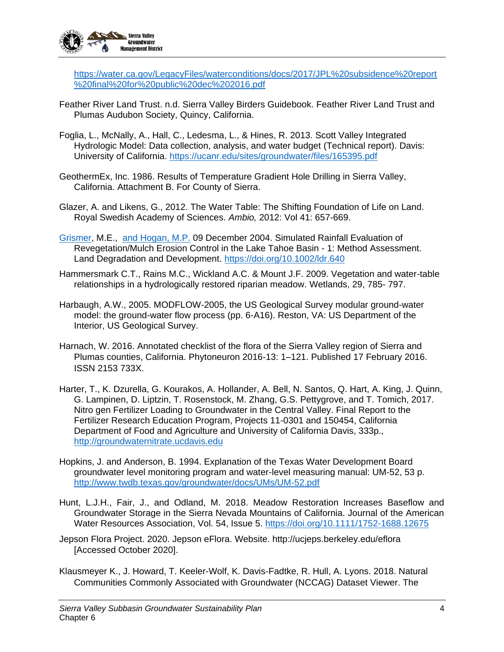

[https://water.ca.gov/LegacyFiles/waterconditions/docs/2017/JPL%20subsidence%20report](https://water.ca.gov/LegacyFiles/waterconditions/docs/2017/JPL%20subsidence%20report%20final%20for%20public%20dec%202016.pdf) [%20final%20for%20public%20dec%202016.pdf](https://water.ca.gov/LegacyFiles/waterconditions/docs/2017/JPL%20subsidence%20report%20final%20for%20public%20dec%202016.pdf)

- Feather River Land Trust. n.d. Sierra Valley Birders Guidebook. Feather River Land Trust and Plumas Audubon Society, Quincy, California.
- Foglia, L., McNally, A., Hall, C., Ledesma, L., & Hines, R. 2013. Scott Valley Integrated Hydrologic Model: Data collection, analysis, and water budget (Technical report). Davis: University of California.<https://ucanr.edu/sites/groundwater/files/165395.pdf>
- GeothermEx, Inc. 1986. Results of Temperature Gradient Hole Drilling in Sierra Valley, California. Attachment B. For County of Sierra.
- Glazer, A. and Likens, G., 2012. The Water Table: The Shifting Foundation of Life on Land. Royal Swedish Academy of Sciences. *Ambio,* 2012: Vol 41: 657-669.
- [Grismer,](https://nam02.safelinks.protection.outlook.com/?url=https%3A%2F%2Fonlinelibrary.wiley.com%2Faction%2FdoSearch%3FContribAuthorStored%3DGrismer%252C%2BM%2BE&data=04%7C01%7Cbetsye%40lwa.com%7Cd2e168c7b91c4dadb4b208d96b3ab95a%7C82c116cff68c4a158363ab0d96430543%7C0%7C0%7C637658723153703133%7CUnknown%7CTWFpbGZsb3d8eyJWIjoiMC4wLjAwMDAiLCJQIjoiV2luMzIiLCJBTiI6Ik1haWwiLCJXVCI6Mn0%3D%7C1000&sdata=NJN3j7iB7yKKvkboa%2BoWqIevEtVX3hJlvRCjzpMcCMw%3D&reserved=0) M.E., [and Hogan,](https://nam02.safelinks.protection.outlook.com/?url=https%3A%2F%2Fonlinelibrary.wiley.com%2Faction%2FdoSearch%3FContribAuthorStored%3DHogan%252C%2BM%2BP&data=04%7C01%7Cbetsye%40lwa.com%7Cd2e168c7b91c4dadb4b208d96b3ab95a%7C82c116cff68c4a158363ab0d96430543%7C0%7C0%7C637658723153703133%7CUnknown%7CTWFpbGZsb3d8eyJWIjoiMC4wLjAwMDAiLCJQIjoiV2luMzIiLCJBTiI6Ik1haWwiLCJXVCI6Mn0%3D%7C1000&sdata=aKlblmKEIO0Of4aV9iajLH%2Fpv7bpk61rJK9vFbdEvfM%3D&reserved=0) M.P. 09 December 2004. Simulated Rainfall Evaluation of Revegetation/Mulch Erosion Control in the Lake Tahoe Basin - 1: Method Assessment. Land Degradation and Development. <https://doi.org/10.1002/ldr.640>
- Hammersmark C.T., Rains M.C., Wickland A.C. & Mount J.F. 2009. Vegetation and water-table relationships in a hydrologically restored riparian meadow. Wetlands, 29, 785- 797.
- Harbaugh, A.W., 2005. MODFLOW-2005, the US Geological Survey modular ground-water model: the ground-water flow process (pp. 6-A16). Reston, VA: US Department of the Interior, US Geological Survey.
- Harnach, W. 2016. Annotated checklist of the flora of the Sierra Valley region of Sierra and Plumas counties, California. Phytoneuron 2016-13: 1–121. Published 17 February 2016. ISSN 2153 733X.
- Harter, T., K. Dzurella, G. Kourakos, A. Hollander, A. Bell, N. Santos, Q. Hart, A. King, J. Quinn, G. Lampinen, D. Liptzin, T. Rosenstock, M. Zhang, G.S. Pettygrove, and T. Tomich, 2017. Nitro gen Fertilizer Loading to Groundwater in the Central Valley. Final Report to the Fertilizer Research Education Program, Projects 11-0301 and 150454, California Department of Food and Agriculture and University of California Davis, 333p., [http://groundwaternitrate.ucdavis.edu](http://groundwaternitrate.ucdavis.edu/)
- Hopkins, J. and Anderson, B. 1994. Explanation of the Texas Water Development Board groundwater level monitoring program and water-level measuring manual: UM-52, 53 p. <http://www.twdb.texas.gov/groundwater/docs/UMs/UM-52.pdf>
- Hunt, L.J.H., Fair, J., and Odland, M. 2018. Meadow Restoration Increases Baseflow and Groundwater Storage in the Sierra Nevada Mountains of California. Journal of the American Water Resources Association, Vol. 54, Issue 5.<https://doi.org/10.1111/1752-1688.12675>
- Jepson Flora Project. 2020. Jepson eFlora. Website. http://ucjeps.berkeley.edu/eflora [Accessed October 2020].
- Klausmeyer K., J. Howard, T. Keeler-Wolf, K. Davis-Fadtke, R. Hull, A. Lyons. 2018. Natural Communities Commonly Associated with Groundwater (NCCAG) Dataset Viewer. The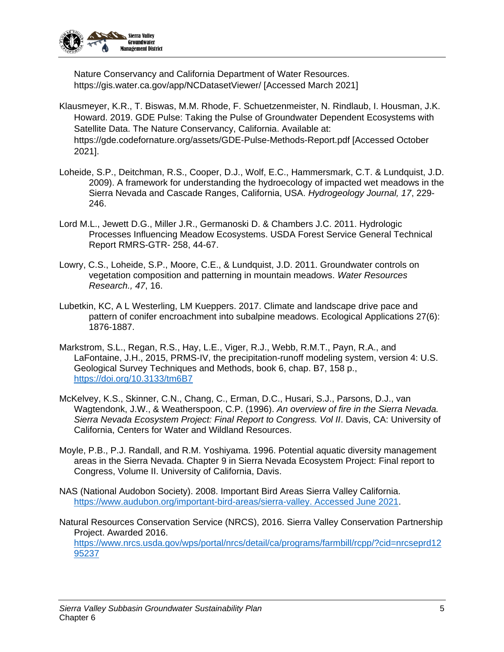

Nature Conservancy and California Department of Water Resources. https://gis.water.ca.gov/app/NCDatasetViewer/ [Accessed March 2021]

- Klausmeyer, K.R., T. Biswas, M.M. Rhode, F. Schuetzenmeister, N. Rindlaub, I. Housman, J.K. Howard. 2019. GDE Pulse: Taking the Pulse of Groundwater Dependent Ecosystems with Satellite Data. The Nature Conservancy, California. Available at: https://gde.codefornature.org/assets/GDE-Pulse-Methods-Report.pdf [Accessed October 2021].
- Loheide, S.P., Deitchman, R.S., Cooper, D.J., Wolf, E.C., Hammersmark, C.T. & Lundquist, J.D. 2009). A framework for understanding the hydroecology of impacted wet meadows in the Sierra Nevada and Cascade Ranges, California, USA. *Hydrogeology Journal, 17*, 229- 246.
- Lord M.L., Jewett D.G., Miller J.R., Germanoski D. & Chambers J.C. 2011. Hydrologic Processes Influencing Meadow Ecosystems. USDA Forest Service General Technical Report RMRS-GTR- 258, 44-67.
- Lowry, C.S., Loheide, S.P., Moore, C.E., & Lundquist, J.D. 2011. Groundwater controls on vegetation composition and patterning in mountain meadows. *Water Resources Research., 47*, 16.
- Lubetkin, KC, A L Westerling, LM Kueppers. 2017. Climate and landscape drive pace and pattern of conifer encroachment into subalpine meadows. Ecological Applications 27(6): 1876-1887.
- Markstrom, S.L., Regan, R.S., Hay, L.E., Viger, R.J., Webb, R.M.T., Payn, R.A., and LaFontaine, J.H., 2015, PRMS-IV, the precipitation-runoff modeling system, version 4: U.S. Geological Survey Techniques and Methods, book 6, chap. B7, 158 p., <https://doi.org/10.3133/tm6B7>
- McKelvey, K.S., Skinner, C.N., Chang, C., Erman, D.C., Husari, S.J., Parsons, D.J., van Wagtendonk, J.W., & Weatherspoon, C.P. (1996). *An overview of fire in the Sierra Nevada. Sierra Nevada Ecosystem Project: Final Report to Congress. Vol II*. Davis, CA: University of California, Centers for Water and Wildland Resources.
- Moyle, P.B., P.J. Randall, and R.M. Yoshiyama. 1996. Potential aquatic diversity management areas in the Sierra Nevada. Chapter 9 in Sierra Nevada Ecosystem Project: Final report to Congress, Volume II. University of California, Davis.
- NAS (National Audobon Society). 2008. Important Bird Areas Sierra Valley California. [https://www.audubon.org/important-bird-areas/sierra-valley. Accessed June 2021.](https://www.audubon.org/important-bird-areas/sierra-valley.%20Accessed%20June%202021)
- Natural Resources Conservation Service (NRCS), 2016. Sierra Valley Conservation Partnership Project. Awarded 2016. [https://www.nrcs.usda.gov/wps/portal/nrcs/detail/ca/programs/farmbill/rcpp/?cid=nrcseprd12](https://www.nrcs.usda.gov/wps/portal/nrcs/detail/ca/programs/farmbill/rcpp/?cid=nrcseprd1295237) [95237](https://www.nrcs.usda.gov/wps/portal/nrcs/detail/ca/programs/farmbill/rcpp/?cid=nrcseprd1295237)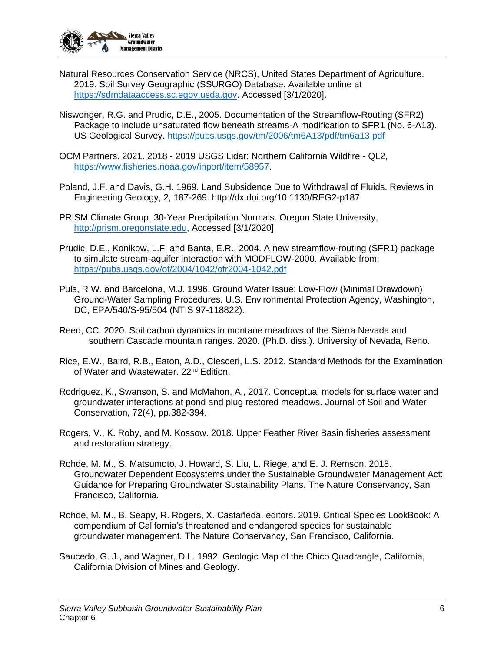

- Natural Resources Conservation Service (NRCS), United States Department of Agriculture. 2019. Soil Survey Geographic (SSURGO) Database. Available online at [https://sdmdataaccess.sc.egov.usda.gov.](https://sdmdataaccess.sc.egov.usda.gov/) Accessed [3/1/2020].
- Niswonger, R.G. and Prudic, D.E., 2005. Documentation of the Streamflow-Routing (SFR2) Package to include unsaturated flow beneath streams-A modification to SFR1 (No. 6-A13). US Geological Survey.<https://pubs.usgs.gov/tm/2006/tm6A13/pdf/tm6a13.pdf>
- OCM Partners. 2021. 2018 2019 USGS Lidar: Northern California Wildfire QL2, [https://www.fisheries.noaa.gov/inport/item/58957.](https://www.fisheries.noaa.gov/inport/item/58957)
- Poland, J.F. and Davis, G.H. 1969. Land Subsidence Due to Withdrawal of Fluids. Reviews in Engineering Geology, 2, 187-269. http://dx.doi.org/10.1130/REG2-p187
- PRISM Climate Group. 30-Year Precipitation Normals. Oregon State University, [http://prism.oregonstate.edu,](http://prism.oregonstate.edu/) Accessed [3/1/2020].
- Prudic, D.E., Konikow, L.F. and Banta, E.R., 2004. A new streamflow-routing (SFR1) package to simulate stream-aquifer interaction with MODFLOW-2000. Available from: <https://pubs.usgs.gov/of/2004/1042/ofr2004-1042.pdf>
- Puls, R W. and Barcelona, M.J. 1996. Ground Water Issue: Low-Flow (Minimal Drawdown) Ground-Water Sampling Procedures. U.S. Environmental Protection Agency, Washington, DC, EPA/540/S-95/504 (NTIS 97-118822).
- Reed, CC. 2020. Soil carbon dynamics in montane meadows of the Sierra Nevada and southern Cascade mountain ranges. 2020. (Ph.D. diss.). University of Nevada, Reno.
- Rice, E.W., Baird, R.B., Eaton, A.D., Clesceri, L.S. 2012. Standard Methods for the Examination of Water and Wastewater. 22<sup>nd</sup> Edition.
- Rodriguez, K., Swanson, S. and McMahon, A., 2017. Conceptual models for surface water and groundwater interactions at pond and plug restored meadows. Journal of Soil and Water Conservation, 72(4), pp.382-394.
- Rogers, V., K. Roby, and M. Kossow. 2018. Upper Feather River Basin fisheries assessment and restoration strategy.
- Rohde, M. M., S. Matsumoto, J. Howard, S. Liu, L. Riege, and E. J. Remson. 2018. Groundwater Dependent Ecosystems under the Sustainable Groundwater Management Act: Guidance for Preparing Groundwater Sustainability Plans. The Nature Conservancy, San Francisco, California.
- Rohde, M. M., B. Seapy, R. Rogers, X. Castañeda, editors. 2019. Critical Species LookBook: A compendium of California's threatened and endangered species for sustainable groundwater management. The Nature Conservancy, San Francisco, California.
- Saucedo, G. J., and Wagner, D.L. 1992. Geologic Map of the Chico Quadrangle, California, California Division of Mines and Geology.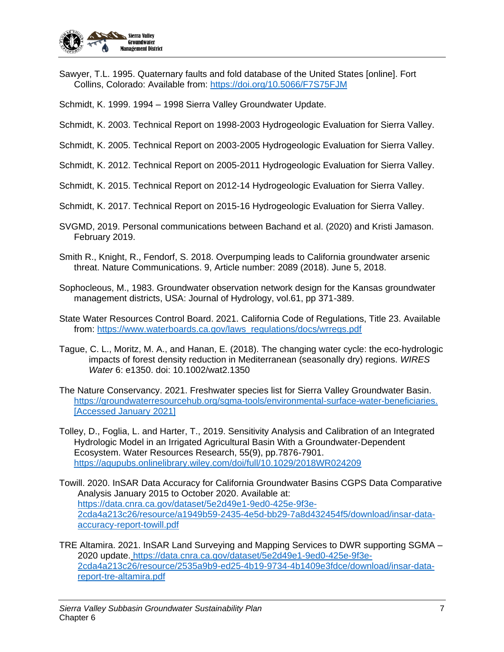

Sawyer, T.L. 1995. Quaternary faults and fold database of the United States [online]. Fort Collins, Colorado: Available from:<https://doi.org/10.5066/F7S75FJM>

Schmidt, K. 1999. 1994 – 1998 Sierra Valley Groundwater Update.

- Schmidt, K. 2003. Technical Report on 1998-2003 Hydrogeologic Evaluation for Sierra Valley.
- Schmidt, K. 2005. Technical Report on 2003-2005 Hydrogeologic Evaluation for Sierra Valley.
- Schmidt, K. 2012. Technical Report on 2005-2011 Hydrogeologic Evaluation for Sierra Valley.
- Schmidt, K. 2015. Technical Report on 2012-14 Hydrogeologic Evaluation for Sierra Valley.
- Schmidt, K. 2017. Technical Report on 2015-16 Hydrogeologic Evaluation for Sierra Valley.
- SVGMD, 2019. Personal communications between Bachand et al. (2020) and Kristi Jamason. February 2019.
- Smith R., Knight, R., Fendorf, S. 2018. Overpumping leads to California groundwater arsenic threat. Nature Communications. 9, Article number: 2089 (2018). June 5, 2018.
- Sophocleous, M., 1983. Groundwater observation network design for the Kansas groundwater management districts, USA: Journal of Hydrology, vol.61, pp 371-389.
- State Water Resources Control Board. 2021. California Code of Regulations, Title 23. Available from: [https://www.waterboards.ca.gov/laws\\_regulations/docs/wrregs.pdf](https://www.waterboards.ca.gov/laws_regulations/docs/wrregs.pdf)
- Tague, C. L., Moritz, M. A., and Hanan, E. (2018). The changing water cycle: the eco-hydrologic impacts of forest density reduction in Mediterranean (seasonally dry) regions. *WIRES Water* 6: e1350. doi: 10.1002/wat2.1350
- The Nature Conservancy. 2021. Freshwater species list for Sierra Valley Groundwater Basin. [https://groundwaterresourcehub.org/sgma-tools/environmental-surface-water-beneficiaries.](https://groundwaterresourcehub.org/sgma-tools/environmental-surface-water-beneficiaries.%20%5bAccessed%20January)  [\[Accessed January](https://groundwaterresourcehub.org/sgma-tools/environmental-surface-water-beneficiaries.%20%5bAccessed%20January) 2021]
- Tolley, D., Foglia, L. and Harter, T., 2019. Sensitivity Analysis and Calibration of an Integrated Hydrologic Model in an Irrigated Agricultural Basin With a Groundwater‐Dependent Ecosystem. Water Resources Research, 55(9), pp.7876-7901. <https://agupubs.onlinelibrary.wiley.com/doi/full/10.1029/2018WR024209>
- Towill. 2020. InSAR Data Accuracy for California Groundwater Basins CGPS Data Comparative Analysis January 2015 to October 2020. Available at: [https://data.cnra.ca.gov/dataset/5e2d49e1-9ed0-425e-9f3e-](https://data.cnra.ca.gov/dataset/5e2d49e1-9ed0-425e-9f3e-2cda4a213c26/resource/a1949b59-2435-4e5d-bb29-7a8d432454f5/download/insar-data-accuracy-report-towill.pdf)[2cda4a213c26/resource/a1949b59-2435-4e5d-bb29-7a8d432454f5/download/insar-data](https://data.cnra.ca.gov/dataset/5e2d49e1-9ed0-425e-9f3e-2cda4a213c26/resource/a1949b59-2435-4e5d-bb29-7a8d432454f5/download/insar-data-accuracy-report-towill.pdf)[accuracy-report-towill.pdf](https://data.cnra.ca.gov/dataset/5e2d49e1-9ed0-425e-9f3e-2cda4a213c26/resource/a1949b59-2435-4e5d-bb29-7a8d432454f5/download/insar-data-accuracy-report-towill.pdf)
- TRE Altamira. 2021. InSAR Land Surveying and Mapping Services to DWR supporting SGMA 2020 update. [https://data.cnra.ca.gov/dataset/5e2d49e1-9ed0-425e-9f3e-](https://data.cnra.ca.gov/dataset/5e2d49e1-9ed0-425e-9f3e-2cda4a213c26/resource/2535a9b9-ed25-4b19-9734-4b1409e3fdce/download/insar-data-report-tre-altamira.pdf)[2cda4a213c26/resource/2535a9b9-ed25-4b19-9734-4b1409e3fdce/download/insar-data](https://data.cnra.ca.gov/dataset/5e2d49e1-9ed0-425e-9f3e-2cda4a213c26/resource/2535a9b9-ed25-4b19-9734-4b1409e3fdce/download/insar-data-report-tre-altamira.pdf)[report-tre-altamira.pdf](https://data.cnra.ca.gov/dataset/5e2d49e1-9ed0-425e-9f3e-2cda4a213c26/resource/2535a9b9-ed25-4b19-9734-4b1409e3fdce/download/insar-data-report-tre-altamira.pdf)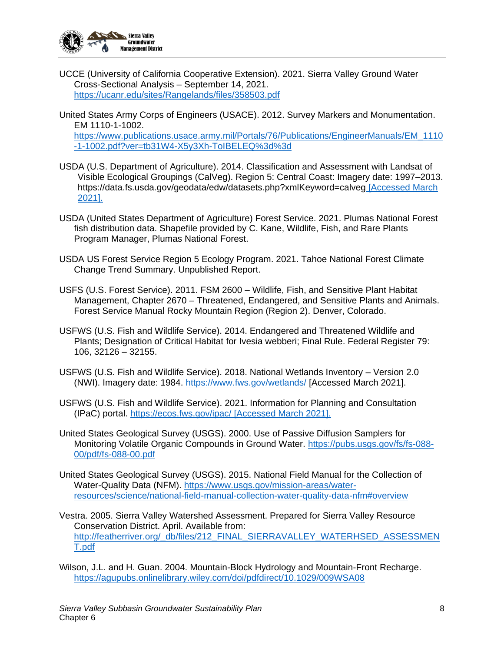

- UCCE (University of California Cooperative Extension). 2021. Sierra Valley Ground Water Cross-Sectional Analysis – September 14, 2021. <https://ucanr.edu/sites/Rangelands/files/358503.pdf>
- United States Army Corps of Engineers (USACE). 2012. Survey Markers and Monumentation. EM 1110-1-1002. [https://www.publications.usace.army.mil/Portals/76/Publications/EngineerManuals/EM\\_1110](https://www.publications.usace.army.mil/Portals/76/Publications/EngineerManuals/EM_1110-1-1002.pdf?ver=tb31W4-X5y3Xh-ToIBELEQ%3d%3d) [-1-1002.pdf?ver=tb31W4-X5y3Xh-ToIBELEQ%3d%3d](https://www.publications.usace.army.mil/Portals/76/Publications/EngineerManuals/EM_1110-1-1002.pdf?ver=tb31W4-X5y3Xh-ToIBELEQ%3d%3d)
- USDA (U.S. Department of Agriculture). 2014. Classification and Assessment with Landsat of Visible Ecological Groupings (CalVeg). Region 5: Central Coast: Imagery date: 1997–2013. https://data.fs.usda.gov/geodata/edw/datasets.php?xmlKeyword=calveg [Accessed March 2021].
- USDA (United States Department of Agriculture) Forest Service. 2021. Plumas National Forest fish distribution data. Shapefile provided by C. Kane, Wildlife, Fish, and Rare Plants Program Manager, Plumas National Forest.
- USDA US Forest Service Region 5 Ecology Program. 2021. Tahoe National Forest Climate Change Trend Summary. Unpublished Report.
- USFS (U.S. Forest Service). 2011. FSM 2600 Wildlife, Fish, and Sensitive Plant Habitat Management, Chapter 2670 – Threatened, Endangered, and Sensitive Plants and Animals. Forest Service Manual Rocky Mountain Region (Region 2). Denver, Colorado.
- USFWS (U.S. Fish and Wildlife Service). 2014. Endangered and Threatened Wildlife and Plants; Designation of Critical Habitat for Ivesia webberi; Final Rule. Federal Register 79: 106, 32126 – 32155.
- USFWS (U.S. Fish and Wildlife Service). 2018. National Wetlands Inventory Version 2.0 (NWI). Imagery date: 1984.<https://www.fws.gov/wetlands/> [Accessed March 2021].
- USFWS (U.S. Fish and Wildlife Service). 2021. Information for Planning and Consultation (IPaC) portal.<https://ecos.fws.gov/ipac/> [Accessed March 2021].
- United States Geological Survey (USGS). 2000. Use of Passive Diffusion Samplers for Monitoring Volatile Organic Compounds in Ground Water. [https://pubs.usgs.gov/fs/fs-088-](https://pubs.usgs.gov/fs/fs-088-00/pdf/fs-088-00.pdf) [00/pdf/fs-088-00.pdf](https://pubs.usgs.gov/fs/fs-088-00/pdf/fs-088-00.pdf)
- United States Geological Survey (USGS). 2015. National Field Manual for the Collection of Water-Quality Data (NFM). [https://www.usgs.gov/mission-areas/water](https://www.usgs.gov/mission-areas/water-resources/science/national-field-manual-collection-water-quality-data-nfm#overview)[resources/science/national-field-manual-collection-water-quality-data-nfm#overview](https://www.usgs.gov/mission-areas/water-resources/science/national-field-manual-collection-water-quality-data-nfm#overview)
- Vestra. 2005. Sierra Valley Watershed Assessment. Prepared for Sierra Valley Resource Conservation District. April. Available from: [http://featherriver.org/\\_db/files/212\\_FINAL\\_SIERRAVALLEY\\_WATERHSED\\_ASSESSMEN](http://featherriver.org/_db/files/212_FINAL_SIERRAVALLEY_WATERHSED_ASSESSMENT.pdf) [T.pdf](http://featherriver.org/_db/files/212_FINAL_SIERRAVALLEY_WATERHSED_ASSESSMENT.pdf)
- Wilson, J.L. and H. Guan. 2004. Mountain-Block Hydrology and Mountain-Front Recharge. <https://agupubs.onlinelibrary.wiley.com/doi/pdfdirect/10.1029/009WSA08>